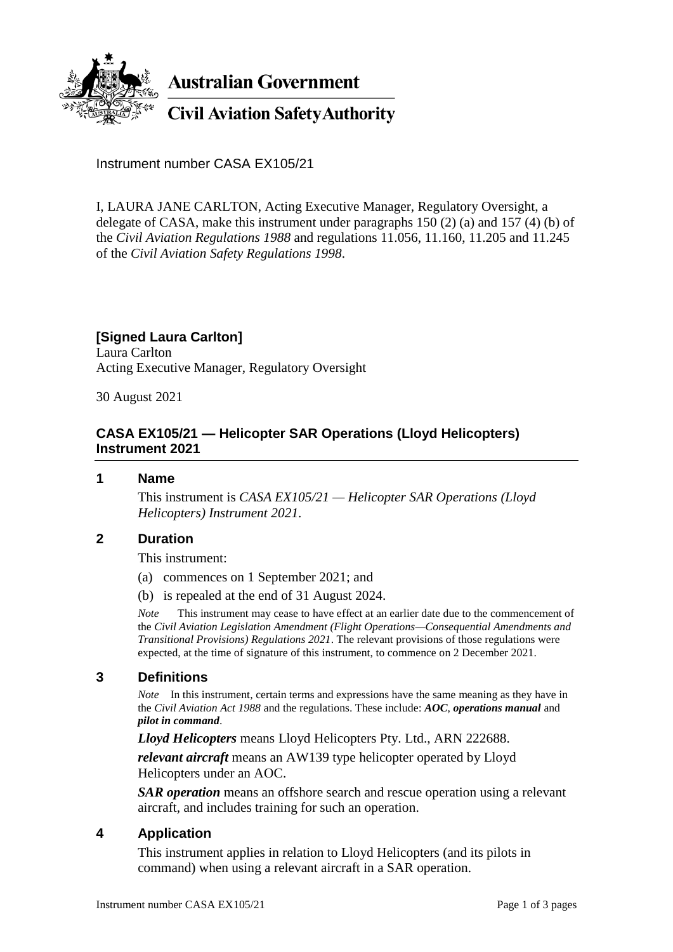

**Australian Government** 

**Civil Aviation Safety Authority** 

Instrument number CASA EX105/21

I, LAURA JANE CARLTON, Acting Executive Manager, Regulatory Oversight, a delegate of CASA, make this instrument under paragraphs 150 (2) (a) and 157 (4) (b) of the *Civil Aviation Regulations 1988* and regulations 11.056, 11.160, 11.205 and 11.245 of the *Civil Aviation Safety Regulations 1998*.

# **[Signed Laura Carlton]**

Laura Carlton Acting Executive Manager, Regulatory Oversight

30 August 2021

### **CASA EX105/21 — Helicopter SAR Operations (Lloyd Helicopters) Instrument 2021**

#### **1 Name**

This instrument is *CASA EX105/21 — Helicopter SAR Operations (Lloyd Helicopters) Instrument 2021*.

### **2 Duration**

This instrument:

- (a) commences on 1 September 2021; and
- (b) is repealed at the end of 31 August 2024.

*Note* This instrument may cease to have effect at an earlier date due to the commencement of the *Civil Aviation Legislation Amendment (Flight Operations—Consequential Amendments and Transitional Provisions) Regulations 2021*. The relevant provisions of those regulations were expected, at the time of signature of this instrument, to commence on 2 December 2021.

### **3 Definitions**

*Note* In this instrument, certain terms and expressions have the same meaning as they have in the *Civil Aviation Act 1988* and the regulations. These include: *AOC*, *operations manual* and *pilot in command*.

*Lloyd Helicopters* means Lloyd Helicopters Pty. Ltd., ARN 222688.

*relevant aircraft* means an AW139 type helicopter operated by Lloyd Helicopters under an AOC.

*SAR operation* means an offshore search and rescue operation using a relevant aircraft, and includes training for such an operation.

### **4 Application**

This instrument applies in relation to Lloyd Helicopters (and its pilots in command) when using a relevant aircraft in a SAR operation.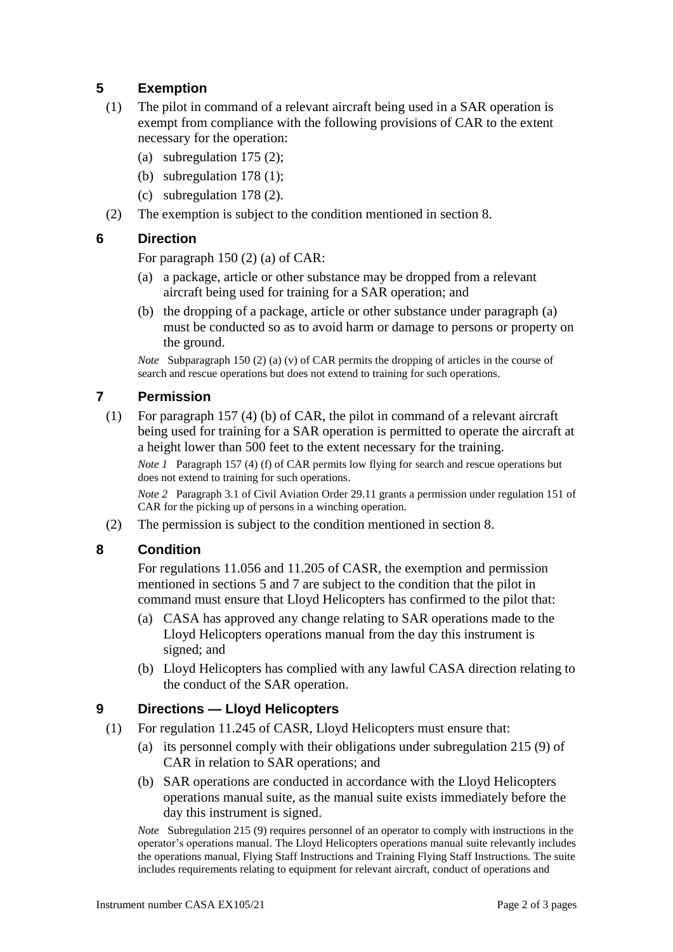# **5 Exemption**

- (1) The pilot in command of a relevant aircraft being used in a SAR operation is exempt from compliance with the following provisions of CAR to the extent necessary for the operation:
	- (a) subregulation 175 (2);
	- (b) subregulation 178 (1);
	- (c) subregulation 178 (2).
- (2) The exemption is subject to the condition mentioned in section 8.

### **6 Direction**

For paragraph 150 (2) (a) of CAR:

- (a) a package, article or other substance may be dropped from a relevant aircraft being used for training for a SAR operation; and
- (b) the dropping of a package, article or other substance under paragraph (a) must be conducted so as to avoid harm or damage to persons or property on the ground.

*Note* Subparagraph 150 (2) (a) (v) of CAR permits the dropping of articles in the course of search and rescue operations but does not extend to training for such operations.

### **7 Permission**

(1) For paragraph 157 (4) (b) of CAR, the pilot in command of a relevant aircraft being used for training for a SAR operation is permitted to operate the aircraft at a height lower than 500 feet to the extent necessary for the training.

*Note 1* Paragraph 157 (4) (f) of CAR permits low flying for search and rescue operations but does not extend to training for such operations.

*Note 2* Paragraph 3.1 of Civil Aviation Order 29.11 grants a permission under regulation 151 of CAR for the picking up of persons in a winching operation.

(2) The permission is subject to the condition mentioned in section 8.

# **8 Condition**

For regulations 11.056 and 11.205 of CASR, the exemption and permission mentioned in sections 5 and 7 are subject to the condition that the pilot in command must ensure that Lloyd Helicopters has confirmed to the pilot that:

- (a) CASA has approved any change relating to SAR operations made to the Lloyd Helicopters operations manual from the day this instrument is signed; and
- (b) Lloyd Helicopters has complied with any lawful CASA direction relating to the conduct of the SAR operation.

# **9 Directions — Lloyd Helicopters**

- (1) For regulation 11.245 of CASR, Lloyd Helicopters must ensure that:
	- (a) its personnel comply with their obligations under subregulation 215 (9) of CAR in relation to SAR operations; and
	- (b) SAR operations are conducted in accordance with the Lloyd Helicopters operations manual suite, as the manual suite exists immediately before the day this instrument is signed.

*Note* Subregulation 215 (9) requires personnel of an operator to comply with instructions in the operator's operations manual. The Lloyd Helicopters operations manual suite relevantly includes the operations manual, Flying Staff Instructions and Training Flying Staff Instructions. The suite includes requirements relating to equipment for relevant aircraft, conduct of operations and